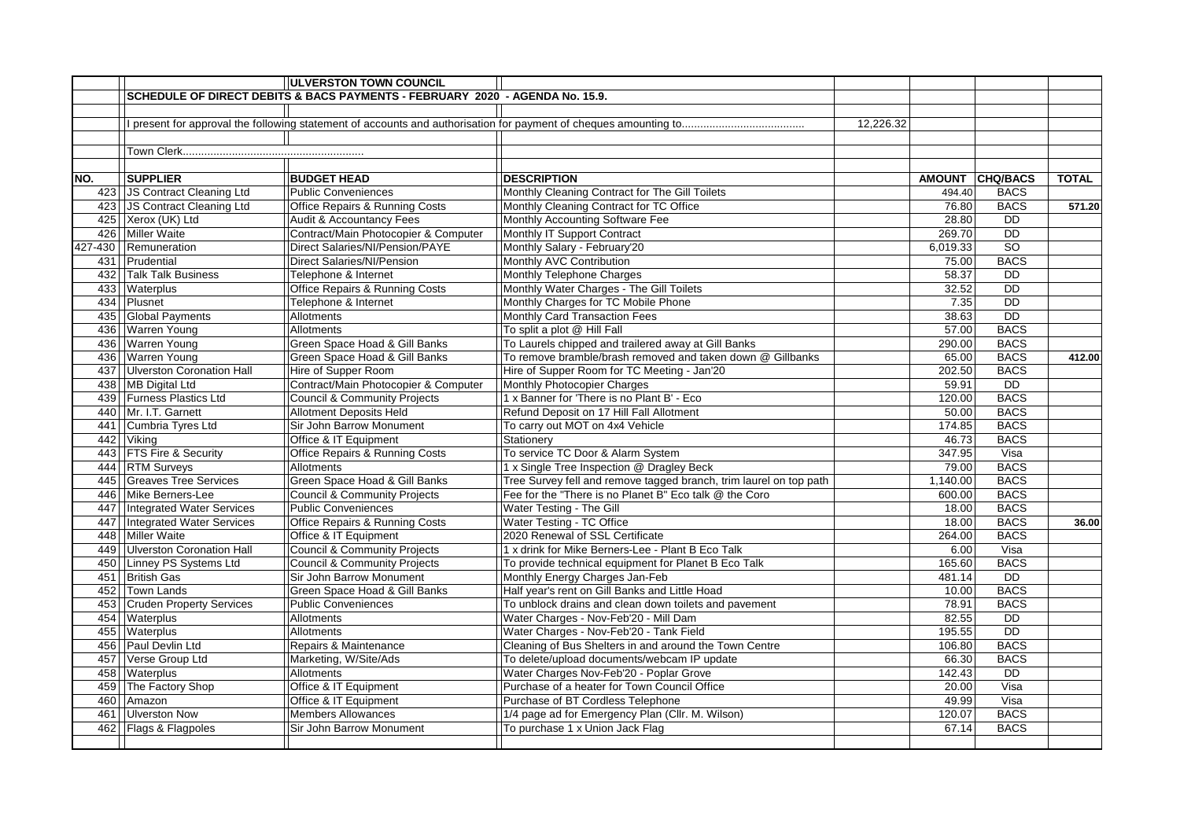|     |                                  | <b>ULVERSTON TOWN COUNCIL</b>                                                |                                                                    |           |          |                 |              |
|-----|----------------------------------|------------------------------------------------------------------------------|--------------------------------------------------------------------|-----------|----------|-----------------|--------------|
|     |                                  | SCHEDULE OF DIRECT DEBITS & BACS PAYMENTS - FEBRUARY 2020 - AGENDA No. 15.9. |                                                                    |           |          |                 |              |
|     |                                  |                                                                              |                                                                    |           |          |                 |              |
|     |                                  |                                                                              |                                                                    | 12,226.32 |          |                 |              |
|     |                                  |                                                                              |                                                                    |           |          |                 |              |
|     |                                  |                                                                              |                                                                    |           |          |                 |              |
|     |                                  |                                                                              |                                                                    |           |          |                 |              |
| NO. | <b>SUPPLIER</b>                  | <b>BUDGET HEAD</b>                                                           | <b>DESCRIPTION</b>                                                 |           |          | AMOUNT CHQ/BACS | <b>TOTAL</b> |
|     | 423 JS Contract Cleaning Ltd     | <b>Public Conveniences</b>                                                   | Monthly Cleaning Contract for The Gill Toilets                     |           | 494.40   | <b>BACS</b>     |              |
|     | 423 JS Contract Cleaning Ltd     | Office Repairs & Running Costs                                               | Monthly Cleaning Contract for TC Office                            |           | 76.80    | <b>BACS</b>     | 571.20       |
|     | 425 Xerox (UK) Ltd               | <b>Audit &amp; Accountancy Fees</b>                                          | Monthly Accounting Software Fee                                    |           | 28.80    | <b>DD</b>       |              |
|     | 426 Miller Waite                 | Contract/Main Photocopier & Computer                                         | Monthly IT Support Contract                                        |           | 269.70   | <b>DD</b>       |              |
|     | 427-430   Remuneration           | Direct Salaries/NI/Pension/PAYE                                              | Monthly Salary - February'20                                       |           | 6,019.33 | $\overline{SO}$ |              |
|     | 431 Prudential                   | <b>Direct Salaries/NI/Pension</b>                                            | Monthly AVC Contribution                                           |           | 75.00    | <b>BACS</b>     |              |
|     | 432   Talk Talk Business         | Telephone & Internet                                                         | Monthly Telephone Charges                                          |           | 58.37    | <b>DD</b>       |              |
|     | 433 Waterplus                    | Office Repairs & Running Costs                                               | Monthly Water Charges - The Gill Toilets                           |           | 32.52    | $\overline{DD}$ |              |
|     | 434 Plusnet                      | Telephone & Internet                                                         | Monthly Charges for TC Mobile Phone                                |           | 7.35     | <b>DD</b>       |              |
| 435 | Global Payments                  | Allotments                                                                   | Monthly Card Transaction Fees                                      |           | 38.63    | <b>DD</b>       |              |
|     | 436 Warren Young                 | Allotments                                                                   | To split a plot @ Hill Fall                                        |           | 57.00    | <b>BACS</b>     |              |
|     | 436 Warren Young                 | Green Space Hoad & Gill Banks                                                | To Laurels chipped and trailered away at Gill Banks                |           | 290.00   | <b>BACS</b>     |              |
|     | 436 Warren Young                 | Green Space Hoad & Gill Banks                                                | To remove bramble/brash removed and taken down @ Gillbanks         |           | 65.00    | <b>BACS</b>     | 412.00       |
|     | 437 Ulverston Coronation Hall    | Hire of Supper Room                                                          | Hire of Supper Room for TC Meeting - Jan'20                        |           | 202.50   | <b>BACS</b>     |              |
|     | 438 MB Digital Ltd               | Contract/Main Photocopier & Computer                                         | Monthly Photocopier Charges                                        |           | 59.91    | <b>DD</b>       |              |
|     | 439 Furness Plastics Ltd         | Council & Community Projects                                                 | 1 x Banner for 'There is no Plant B' - Eco                         |           | 120.00   | <b>BACS</b>     |              |
|     | 440 Mr. I.T. Garnett             | Allotment Deposits Held                                                      | Refund Deposit on 17 Hill Fall Allotment                           |           | 50.00    | <b>BACS</b>     |              |
|     | 441 Cumbria Tyres Ltd            | Sir John Barrow Monument                                                     | To carry out MOT on 4x4 Vehicle                                    |           | 174.85   | <b>BACS</b>     |              |
|     | 442 Viking                       | Office & IT Equipment                                                        | Stationerv                                                         |           | 46.73    | <b>BACS</b>     |              |
|     | 443 FTS Fire & Security          | <b>Office Repairs &amp; Running Costs</b>                                    | To service TC Door & Alarm System                                  |           | 347.95   | Visa            |              |
|     | 444 RTM Surveys                  | Allotments                                                                   | 1 x Single Tree Inspection @ Dragley Beck                          |           | 79.00    | <b>BACS</b>     |              |
|     | 445 Greaves Tree Services        | Green Space Hoad & Gill Banks                                                | Tree Survey fell and remove tagged branch, trim laurel on top path |           | 1,140.00 | <b>BACS</b>     |              |
|     | 446   Mike Berners-Lee           | <b>Council &amp; Community Projects</b>                                      | Fee for the "There is no Planet B" Eco talk @ the Coro             |           | 600.00   | <b>BACS</b>     |              |
| 447 | <b>Integrated Water Services</b> | <b>Public Conveniences</b>                                                   | Water Testing - The Gill                                           |           | 18.00    | <b>BACS</b>     |              |
|     | 447   Integrated Water Services  | <b>Office Repairs &amp; Running Costs</b>                                    | Water Testing - TC Office                                          |           | 18.00    | <b>BACS</b>     | 36.00        |
|     | 448 Miller Waite                 | Office & IT Equipment                                                        | 2020 Renewal of SSL Certificate                                    |           | 264.00   | <b>BACS</b>     |              |
|     | 449 Ulverston Coronation Hall    | Council & Community Projects                                                 | 1 x drink for Mike Berners-Lee - Plant B Eco Talk                  |           | 6.00     | Visa            |              |
|     | 450 Linney PS Systems Ltd        | <b>Council &amp; Community Projects</b>                                      | To provide technical equipment for Planet B Eco Talk               |           | 165.60   | <b>BACS</b>     |              |
|     | 451 British Gas                  | Sir John Barrow Monument                                                     | Monthly Energy Charges Jan-Feb                                     |           | 481.14   | $\overline{DD}$ |              |
|     | 452 Town Lands                   | Green Space Hoad & Gill Banks                                                | Half year's rent on Gill Banks and Little Hoad                     |           | 10.00    | <b>BACS</b>     |              |
|     | 453 Cruden Property Services     | <b>Public Conveniences</b>                                                   | To unblock drains and clean down toilets and pavement              |           | 78.91    | <b>BACS</b>     |              |
|     | 454 Waterplus                    | Allotments                                                                   | Water Charges - Nov-Feb'20 - Mill Dam                              |           | 82.55    | $\overline{DD}$ |              |
|     | 455 Waterplus                    | Allotments                                                                   | Water Charges - Nov-Feb'20 - Tank Field                            |           | 195.55   | $\overline{DD}$ |              |
|     | 456 Paul Devlin Ltd              | Repairs & Maintenance                                                        | Cleaning of Bus Shelters in and around the Town Centre             |           | 106.80   | <b>BACS</b>     |              |
|     | 457 Verse Group Ltd              | Marketing, W/Site/Ads                                                        | To delete/upload documents/webcam IP update                        |           | 66.30    | <b>BACS</b>     |              |
|     | 458 Waterplus                    | Allotments                                                                   | Water Charges Nov-Feb'20 - Poplar Grove                            |           | 142.43   | $\overline{DD}$ |              |
|     | 459 The Factory Shop             | Office & IT Equipment                                                        | Purchase of a heater for Town Council Office                       |           | 20.00    | Visa            |              |
|     | 460 Amazon                       | Office & IT Equipment                                                        | Purchase of BT Cordless Telephone                                  |           | 49.99    | Visa            |              |
|     | 461 Ulverston Now                | <b>Members Allowances</b>                                                    | 1/4 page ad for Emergency Plan (Cllr. M. Wilson)                   |           | 120.07   | <b>BACS</b>     |              |
|     | 462 Flags & Flagpoles            | Sir John Barrow Monument                                                     | To purchase 1 x Union Jack Flag                                    |           | 67.14    | <b>BACS</b>     |              |
|     |                                  |                                                                              |                                                                    |           |          |                 |              |